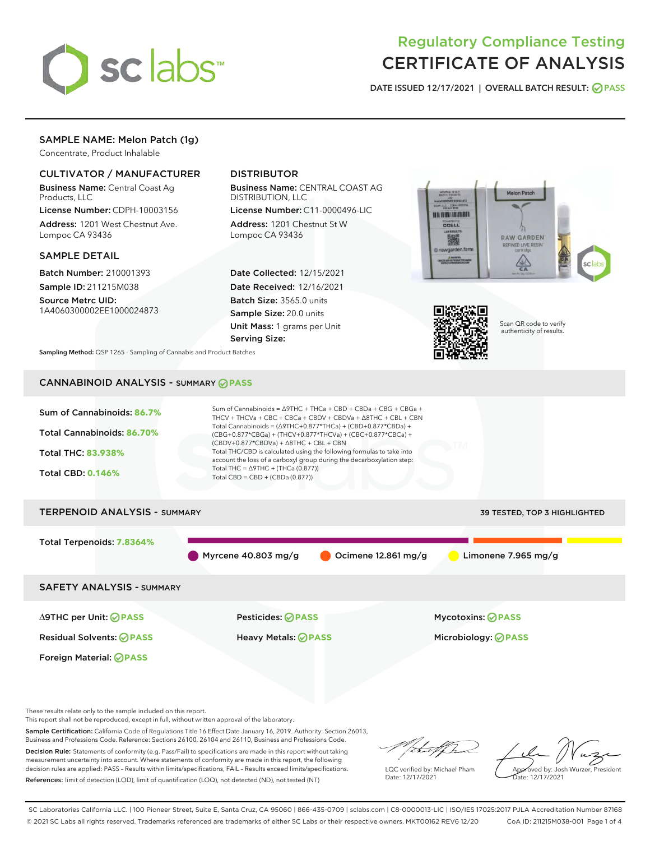

# Regulatory Compliance Testing CERTIFICATE OF ANALYSIS

DATE ISSUED 12/17/2021 | OVERALL BATCH RESULT: @ PASS

#### SAMPLE NAME: Melon Patch (1g)

Concentrate, Product Inhalable

#### CULTIVATOR / MANUFACTURER

Business Name: Central Coast Ag Products, LLC

License Number: CDPH-10003156 Address: 1201 West Chestnut Ave. Lompoc CA 93436

#### SAMPLE DETAIL

Batch Number: 210001393 Sample ID: 211215M038

Source Metrc UID: 1A4060300002EE1000024873

#### DISTRIBUTOR

Business Name: CENTRAL COAST AG DISTRIBUTION, LLC

License Number: C11-0000496-LIC Address: 1201 Chestnut St W Lompoc CA 93436

Date Collected: 12/15/2021 Date Received: 12/16/2021 Batch Size: 3565.0 units Sample Size: 20.0 units Unit Mass: 1 grams per Unit Serving Size:





Scan QR code to verify authenticity of results.

Sampling Method: QSP 1265 - Sampling of Cannabis and Product Batches

### CANNABINOID ANALYSIS - SUMMARY **PASS**



These results relate only to the sample included on this report.

This report shall not be reproduced, except in full, without written approval of the laboratory.

Sample Certification: California Code of Regulations Title 16 Effect Date January 16, 2019. Authority: Section 26013, Business and Professions Code. Reference: Sections 26100, 26104 and 26110, Business and Professions Code.

Decision Rule: Statements of conformity (e.g. Pass/Fail) to specifications are made in this report without taking measurement uncertainty into account. Where statements of conformity are made in this report, the following decision rules are applied: PASS – Results within limits/specifications, FAIL – Results exceed limits/specifications. References: limit of detection (LOD), limit of quantification (LOQ), not detected (ND), not tested (NT)

that f(ha

LQC verified by: Michael Pham Date: 12/17/2021

Approved by: Josh Wurzer, President ate: 12/17/2021

SC Laboratories California LLC. | 100 Pioneer Street, Suite E, Santa Cruz, CA 95060 | 866-435-0709 | sclabs.com | C8-0000013-LIC | ISO/IES 17025:2017 PJLA Accreditation Number 87168 © 2021 SC Labs all rights reserved. Trademarks referenced are trademarks of either SC Labs or their respective owners. MKT00162 REV6 12/20 CoA ID: 211215M038-001 Page 1 of 4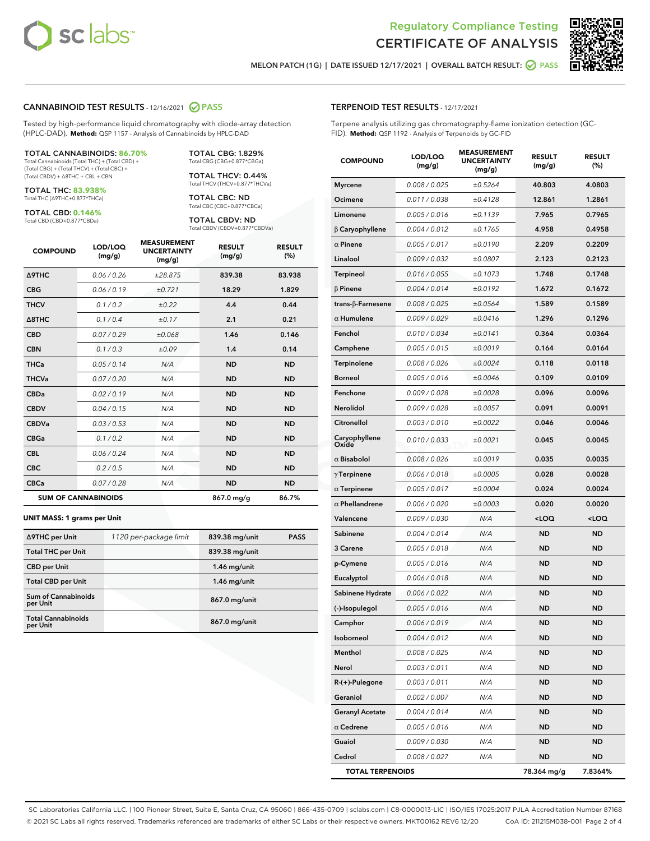



MELON PATCH (1G) | DATE ISSUED 12/17/2021 | OVERALL BATCH RESULT: ○ PASS

#### CANNABINOID TEST RESULTS - 12/16/2021 2 PASS

Tested by high-performance liquid chromatography with diode-array detection (HPLC-DAD). **Method:** QSP 1157 - Analysis of Cannabinoids by HPLC-DAD

#### TOTAL CANNABINOIDS: **86.70%**

Total Cannabinoids (Total THC) + (Total CBD) + (Total CBG) + (Total THCV) + (Total CBC) + (Total CBDV) + ∆8THC + CBL + CBN

TOTAL THC: **83.938%** Total THC (∆9THC+0.877\*THCa)

TOTAL CBD: **0.146%** Total CBD (CBD+0.877\*CBDa)

Total THCV (THCV+0.877\*THCVa)

TOTAL CBG: 1.829% Total CBG (CBG+0.877\*CBGa) TOTAL THCV: 0.44%

TOTAL CBC: ND Total CBC (CBC+0.877\*CBCa)

TOTAL CBDV: ND Total CBDV (CBDV+0.877\*CBDVa)

| <b>COMPOUND</b>            | LOD/LOQ<br>(mg/g) | <b>MEASUREMENT</b><br><b>UNCERTAINTY</b><br>(mg/g) | <b>RESULT</b><br>(mg/g) | <b>RESULT</b><br>(%) |
|----------------------------|-------------------|----------------------------------------------------|-------------------------|----------------------|
| <b>A9THC</b>               | 0.06/0.26         | ±28.875                                            | 839.38                  | 83.938               |
| <b>CBG</b>                 | 0.06/0.19         | ±0.721                                             | 18.29                   | 1.829                |
| <b>THCV</b>                | 0.1 / 0.2         | $\pm 0.22$                                         | 4.4                     | 0.44                 |
| $\triangle$ 8THC           | 0.1/0.4           | ±0.17                                              | 2.1                     | 0.21                 |
| <b>CBD</b>                 | 0.07/0.29         | ±0.068                                             | 1.46                    | 0.146                |
| <b>CBN</b>                 | 0.1/0.3           | ±0.09                                              | 1.4                     | 0.14                 |
| <b>THCa</b>                | 0.05/0.14         | N/A                                                | <b>ND</b>               | <b>ND</b>            |
| <b>THCVa</b>               | 0.07 / 0.20       | N/A                                                | <b>ND</b>               | <b>ND</b>            |
| <b>CBDa</b>                | 0.02/0.19         | N/A                                                | <b>ND</b>               | <b>ND</b>            |
| <b>CBDV</b>                | 0.04 / 0.15       | N/A                                                | <b>ND</b>               | <b>ND</b>            |
| <b>CBDVa</b>               | 0.03 / 0.53       | N/A                                                | <b>ND</b>               | <b>ND</b>            |
| <b>CBGa</b>                | 0.1/0.2           | N/A                                                | <b>ND</b>               | <b>ND</b>            |
| <b>CBL</b>                 | 0.06 / 0.24       | N/A                                                | <b>ND</b>               | <b>ND</b>            |
| <b>CBC</b>                 | 0.2 / 0.5         | N/A                                                | <b>ND</b>               | <b>ND</b>            |
| <b>CBCa</b>                | 0.07/0.28         | N/A                                                | <b>ND</b>               | <b>ND</b>            |
| <b>SUM OF CANNABINOIDS</b> |                   |                                                    | 867.0 mg/g              | 86.7%                |

#### **UNIT MASS: 1 grams per Unit**

| ∆9THC per Unit                        | 1120 per-package limit | 839.38 mg/unit | <b>PASS</b> |
|---------------------------------------|------------------------|----------------|-------------|
| <b>Total THC per Unit</b>             |                        | 839.38 mg/unit |             |
| <b>CBD per Unit</b>                   |                        | $1.46$ mg/unit |             |
| <b>Total CBD per Unit</b>             |                        | $1.46$ mg/unit |             |
| Sum of Cannabinoids<br>per Unit       |                        | 867.0 mg/unit  |             |
| <b>Total Cannabinoids</b><br>per Unit |                        | 867.0 mg/unit  |             |

| <b>COMPOUND</b>         | LOD/LOQ<br>(mg/g) | <b>MEASUREMENT</b><br><b>UNCERTAINTY</b><br>(mg/g) | <b>RESULT</b><br>(mg/g)                          | <b>RESULT</b><br>(%) |
|-------------------------|-------------------|----------------------------------------------------|--------------------------------------------------|----------------------|
| <b>Myrcene</b>          | 0.008 / 0.025     | ±0.5264                                            | 40.803                                           | 4.0803               |
| Ocimene                 | 0.011 / 0.038     | ±0.4128                                            | 12.861                                           | 1.2861               |
| Limonene                | 0.005 / 0.016     | ±0.1139                                            | 7.965                                            | 0.7965               |
| $\beta$ Caryophyllene   | 0.004 / 0.012     | ±0.1765                                            | 4.958                                            | 0.4958               |
| $\alpha$ Pinene         | 0.005 / 0.017     | ±0.0190                                            | 2.209                                            | 0.2209               |
| Linalool                | 0.009/0.032       | ±0.0807                                            | 2.123                                            | 0.2123               |
| Terpineol               | 0.016 / 0.055     | ±0.1073                                            | 1.748                                            | 0.1748               |
| $\beta$ Pinene          | 0.004 / 0.014     | ±0.0192                                            | 1.672                                            | 0.1672               |
| trans-β-Farnesene       | 0.008 / 0.025     | ±0.0564                                            | 1.589                                            | 0.1589               |
| $\alpha$ Humulene       | 0.009 / 0.029     | ±0.0416                                            | 1.296                                            | 0.1296               |
| Fenchol                 | 0.010 / 0.034     | ±0.0141                                            | 0.364                                            | 0.0364               |
| Camphene                | 0.005 / 0.015     | ±0.0019                                            | 0.164                                            | 0.0164               |
| <b>Terpinolene</b>      | 0.008 / 0.026     | ±0.0024                                            | 0.118                                            | 0.0118               |
| <b>Borneol</b>          | 0.005 / 0.016     | ±0.0046                                            | 0.109                                            | 0.0109               |
| Fenchone                | 0.009 / 0.028     | ±0.0028                                            | 0.096                                            | 0.0096               |
| Nerolidol               | 0.009 / 0.028     | ±0.0057                                            | 0.091                                            | 0.0091               |
| Citronellol             | 0.003 / 0.010     | ±0.0022                                            | 0.046                                            | 0.0046               |
| Caryophyllene<br>Oxide  | 0.010 / 0.033     | ±0.0021                                            | 0.045                                            | 0.0045               |
| $\alpha$ Bisabolol      | 0.008 / 0.026     | ±0.0019                                            | 0.035                                            | 0.0035               |
| $\gamma$ Terpinene      | 0.006 / 0.018     | ±0.0005                                            | 0.028                                            | 0.0028               |
| $\alpha$ Terpinene      | 0.005 / 0.017     | ±0.0004                                            | 0.024                                            | 0.0024               |
| $\alpha$ Phellandrene   | 0.006 / 0.020     | ±0.0003                                            | 0.020                                            | 0.0020               |
| Valencene               | 0.009 / 0.030     | N/A                                                | <loq< th=""><th><math>&lt;</math>LOQ</th></loq<> | $<$ LOQ              |
| Sabinene                | 0.004 / 0.014     | N/A                                                | <b>ND</b>                                        | <b>ND</b>            |
| 3 Carene                | 0.005 / 0.018     | N/A                                                | <b>ND</b>                                        | <b>ND</b>            |
| p-Cymene                | 0.005 / 0.016     | N/A                                                | ND                                               | <b>ND</b>            |
| Eucalyptol              | 0.006 / 0.018     | N/A                                                | <b>ND</b>                                        | <b>ND</b>            |
| Sabinene Hydrate        | 0.006 / 0.022     | N/A                                                | <b>ND</b>                                        | <b>ND</b>            |
| (-)-Isopulegol          | 0.005 / 0.016     | N/A                                                | <b>ND</b>                                        | <b>ND</b>            |
| Camphor                 | 0.006 / 0.019     | N/A                                                | <b>ND</b>                                        | <b>ND</b>            |
| Isoborneol              | 0.004 / 0.012     | N/A                                                | ND                                               | ND                   |
| Menthol                 | 0.008 / 0.025     | N/A                                                | ND                                               | ND                   |
| Nerol                   | 0.003 / 0.011     | N/A                                                | ND                                               | ND                   |
| R-(+)-Pulegone          | 0.003 / 0.011     | N/A                                                | ND                                               | <b>ND</b>            |
| Geraniol                | 0.002 / 0.007     | N/A                                                | ND                                               | ND                   |
| <b>Geranyl Acetate</b>  | 0.004 / 0.014     | N/A                                                | ND                                               | ND                   |
| $\alpha$ Cedrene        | 0.005 / 0.016     | N/A                                                | ND                                               | <b>ND</b>            |
| Guaiol                  | 0.009 / 0.030     | N/A                                                | ND                                               | ND                   |
| Cedrol                  | 0.008 / 0.027     | N/A                                                | ND                                               | ND                   |
| <b>TOTAL TERPENOIDS</b> |                   |                                                    | 78.364 mg/g                                      | 7.8364%              |

SC Laboratories California LLC. | 100 Pioneer Street, Suite E, Santa Cruz, CA 95060 | 866-435-0709 | sclabs.com | C8-0000013-LIC | ISO/IES 17025:2017 PJLA Accreditation Number 87168 © 2021 SC Labs all rights reserved. Trademarks referenced are trademarks of either SC Labs or their respective owners. MKT00162 REV6 12/20 CoA ID: 211215M038-001 Page 2 of 4

# TERPENOID TEST RESULTS - 12/17/2021

Terpene analysis utilizing gas chromatography-flame ionization detection (GC-FID). **Method:** QSP 1192 - Analysis of Terpenoids by GC-FID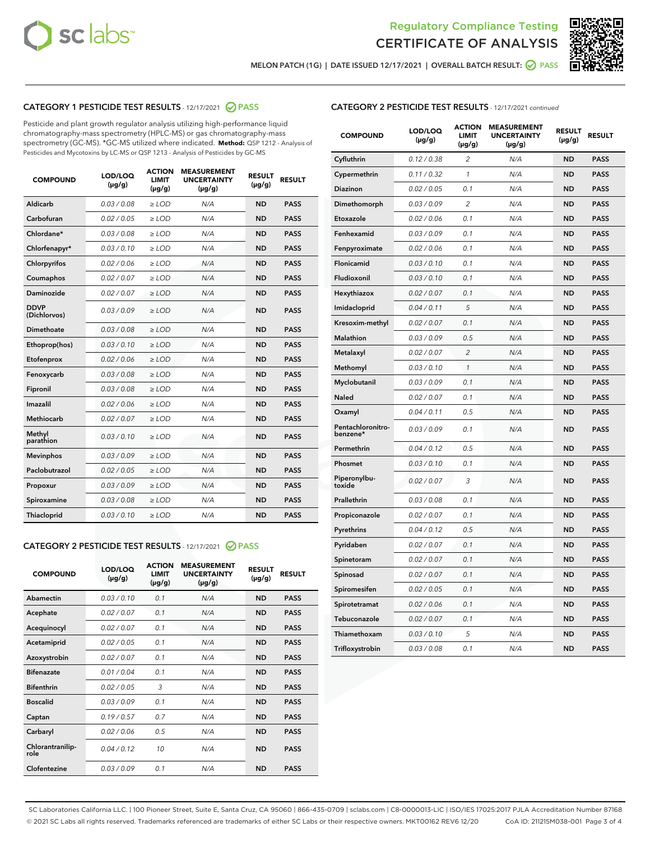



MELON PATCH (1G) | DATE ISSUED 12/17/2021 | OVERALL BATCH RESULT:  $\bigcirc$  PASS

### CATEGORY 1 PESTICIDE TEST RESULTS - 12/17/2021 2 PASS

Pesticide and plant growth regulator analysis utilizing high-performance liquid chromatography-mass spectrometry (HPLC-MS) or gas chromatography-mass spectrometry (GC-MS). \*GC-MS utilized where indicated. **Method:** QSP 1212 - Analysis of Pesticides and Mycotoxins by LC-MS or QSP 1213 - Analysis of Pesticides by GC-MS

| <b>COMPOUND</b>             | LOD/LOQ<br>$(\mu g/g)$ | <b>ACTION</b><br><b>LIMIT</b><br>$(\mu g/g)$ | <b>MEASUREMENT</b><br><b>UNCERTAINTY</b><br>$(\mu g/g)$ | <b>RESULT</b><br>$(\mu g/g)$ | <b>RESULT</b> |
|-----------------------------|------------------------|----------------------------------------------|---------------------------------------------------------|------------------------------|---------------|
| Aldicarb                    | 0.03 / 0.08            | $\geq$ LOD                                   | N/A                                                     | <b>ND</b>                    | <b>PASS</b>   |
| Carbofuran                  | 0.02/0.05              | $>$ LOD                                      | N/A                                                     | <b>ND</b>                    | <b>PASS</b>   |
| Chlordane*                  | 0.03 / 0.08            | ≥ LOD                                        | N/A                                                     | <b>ND</b>                    | <b>PASS</b>   |
| Chlorfenapyr*               | 0.03/0.10              | $\ge$ LOD                                    | N/A                                                     | <b>ND</b>                    | <b>PASS</b>   |
| Chlorpyrifos                | 0.02 / 0.06            | $\geq$ LOD                                   | N/A                                                     | <b>ND</b>                    | <b>PASS</b>   |
| Coumaphos                   | 0.02 / 0.07            | $>$ LOD                                      | N/A                                                     | <b>ND</b>                    | <b>PASS</b>   |
| Daminozide                  | 0.02 / 0.07            | $\geq$ LOD                                   | N/A                                                     | <b>ND</b>                    | <b>PASS</b>   |
| <b>DDVP</b><br>(Dichlorvos) | 0.03/0.09              | $\geq$ LOD                                   | N/A                                                     | <b>ND</b>                    | <b>PASS</b>   |
| <b>Dimethoate</b>           | 0.03 / 0.08            | $\ge$ LOD                                    | N/A                                                     | <b>ND</b>                    | <b>PASS</b>   |
| Ethoprop(hos)               | 0.03/0.10              | $>$ LOD                                      | N/A                                                     | <b>ND</b>                    | <b>PASS</b>   |
| Etofenprox                  | 0.02 / 0.06            | $\geq$ LOD                                   | N/A                                                     | <b>ND</b>                    | <b>PASS</b>   |
| Fenoxycarb                  | 0.03 / 0.08            | $>$ LOD                                      | N/A                                                     | <b>ND</b>                    | <b>PASS</b>   |
| Fipronil                    | 0.03 / 0.08            | $\geq$ LOD                                   | N/A                                                     | <b>ND</b>                    | <b>PASS</b>   |
| Imazalil                    | 0.02 / 0.06            | $\geq$ LOD                                   | N/A                                                     | <b>ND</b>                    | <b>PASS</b>   |
| <b>Methiocarb</b>           | 0.02 / 0.07            | ≥ LOD                                        | N/A                                                     | <b>ND</b>                    | <b>PASS</b>   |
| Methyl<br>parathion         | 0.03/0.10              | $>$ LOD                                      | N/A                                                     | <b>ND</b>                    | <b>PASS</b>   |
| <b>Mevinphos</b>            | 0.03/0.09              | $>$ LOD                                      | N/A                                                     | <b>ND</b>                    | <b>PASS</b>   |
| Paclobutrazol               | 0.02 / 0.05            | $\geq$ LOD                                   | N/A                                                     | <b>ND</b>                    | <b>PASS</b>   |
| Propoxur                    | 0.03/0.09              | ≥ LOD                                        | N/A                                                     | <b>ND</b>                    | <b>PASS</b>   |
| Spiroxamine                 | 0.03 / 0.08            | $\ge$ LOD                                    | N/A                                                     | <b>ND</b>                    | <b>PASS</b>   |
| <b>Thiacloprid</b>          | 0.03/0.10              | $\geq$ LOD                                   | N/A                                                     | <b>ND</b>                    | <b>PASS</b>   |
|                             |                        |                                              |                                                         |                              |               |

### CATEGORY 2 PESTICIDE TEST RESULTS - 12/17/2021 @ PASS

| <b>COMPOUND</b>          | LOD/LOO<br>$(\mu g/g)$ | <b>ACTION</b><br>LIMIT<br>$(\mu g/g)$ | <b>MEASUREMENT</b><br><b>UNCERTAINTY</b><br>$(\mu g/g)$ | <b>RESULT</b><br>$(\mu g/g)$ | <b>RESULT</b> |  |
|--------------------------|------------------------|---------------------------------------|---------------------------------------------------------|------------------------------|---------------|--|
| Abamectin                | 0.03/0.10              | 0.1                                   | N/A                                                     | <b>ND</b>                    | <b>PASS</b>   |  |
| Acephate                 | 0.02/0.07              | 0.1                                   | N/A                                                     | <b>ND</b>                    | <b>PASS</b>   |  |
| Acequinocyl              | 0.02/0.07              | 0.1                                   | N/A                                                     | <b>ND</b>                    | <b>PASS</b>   |  |
| Acetamiprid              | 0.02/0.05              | 0.1                                   | N/A                                                     | <b>ND</b>                    | <b>PASS</b>   |  |
| Azoxystrobin             | 0.02/0.07              | 0.1                                   | N/A                                                     | <b>ND</b>                    | <b>PASS</b>   |  |
| <b>Bifenazate</b>        | 0.01/0.04              | 0.1                                   | N/A                                                     | <b>ND</b>                    | <b>PASS</b>   |  |
| <b>Bifenthrin</b>        | 0.02/0.05              | 3                                     | N/A                                                     | <b>ND</b>                    | <b>PASS</b>   |  |
| <b>Boscalid</b>          | 0.03/0.09              | 0.1                                   | N/A                                                     | <b>ND</b>                    | <b>PASS</b>   |  |
| Captan                   | 0.19/0.57              | 0.7                                   | N/A                                                     | <b>ND</b>                    | <b>PASS</b>   |  |
| Carbaryl                 | 0.02/0.06              | 0.5                                   | N/A                                                     | <b>ND</b>                    | <b>PASS</b>   |  |
| Chlorantranilip-<br>role | 0.04/0.12              | 10                                    | N/A                                                     | <b>ND</b>                    | <b>PASS</b>   |  |
| Clofentezine             | 0.03/0.09              | 0.1                                   | N/A                                                     | <b>ND</b>                    | <b>PASS</b>   |  |

#### CATEGORY 2 PESTICIDE TEST RESULTS - 12/17/2021 continued

| <b>COMPOUND</b>               | LOD/LOQ<br>$(\mu g/g)$ | <b>ACTION</b><br>LIMIT<br>(µg/g) | <b>MEASUREMENT</b><br><b>UNCERTAINTY</b><br>(µg/g) | <b>RESULT</b><br>$(\mu g/g)$ | <b>RESULT</b> |
|-------------------------------|------------------------|----------------------------------|----------------------------------------------------|------------------------------|---------------|
| Cyfluthrin                    | 0.12 / 0.38            | $\overline{c}$                   | N/A                                                | ND                           | <b>PASS</b>   |
| Cypermethrin                  | 0.11/0.32              | 1                                | N/A                                                | <b>ND</b>                    | <b>PASS</b>   |
| Diazinon                      | 0.02 / 0.05            | 0.1                              | N/A                                                | ND                           | <b>PASS</b>   |
| Dimethomorph                  | 0.03 / 0.09            | $\overline{2}$                   | N/A                                                | ND                           | <b>PASS</b>   |
| Etoxazole                     | 0.02 / 0.06            | 0.1                              | N/A                                                | <b>ND</b>                    | <b>PASS</b>   |
| Fenhexamid                    | 0.03 / 0.09            | 0.1                              | N/A                                                | <b>ND</b>                    | <b>PASS</b>   |
| Fenpyroximate                 | 0.02 / 0.06            | 0.1                              | N/A                                                | <b>ND</b>                    | <b>PASS</b>   |
| Flonicamid                    | 0.03 / 0.10            | 0.1                              | N/A                                                | ND                           | PASS          |
| Fludioxonil                   | 0.03 / 0.10            | 0.1                              | N/A                                                | <b>ND</b>                    | <b>PASS</b>   |
| Hexythiazox                   | 0.02 / 0.07            | 0.1                              | N/A                                                | <b>ND</b>                    | <b>PASS</b>   |
| Imidacloprid                  | 0.04 / 0.11            | 5                                | N/A                                                | ND                           | <b>PASS</b>   |
| Kresoxim-methyl               | 0.02 / 0.07            | 0.1                              | N/A                                                | ND                           | <b>PASS</b>   |
| Malathion                     | 0.03 / 0.09            | 0.5                              | N/A                                                | <b>ND</b>                    | <b>PASS</b>   |
| Metalaxyl                     | 0.02 / 0.07            | $\overline{c}$                   | N/A                                                | ND                           | PASS          |
| Methomyl                      | 0.03 / 0.10            | 1                                | N/A                                                | ND                           | <b>PASS</b>   |
| Myclobutanil                  | 0.03 / 0.09            | 0.1                              | N/A                                                | <b>ND</b>                    | <b>PASS</b>   |
| Naled                         | 0.02 / 0.07            | 0.1                              | N/A                                                | ND                           | <b>PASS</b>   |
| Oxamyl                        | 0.04 / 0.11            | 0.5                              | N/A                                                | ND                           | <b>PASS</b>   |
| Pentachloronitro-<br>benzene* | 0.03 / 0.09            | 0.1                              | N/A                                                | ND                           | <b>PASS</b>   |
| Permethrin                    | 0.04/0.12              | 0.5                              | N/A                                                | <b>ND</b>                    | <b>PASS</b>   |
| Phosmet                       | 0.03 / 0.10            | 0.1                              | N/A                                                | ND                           | <b>PASS</b>   |
| Piperonylbu-<br>toxide        | 0.02 / 0.07            | 3                                | N/A                                                | <b>ND</b>                    | <b>PASS</b>   |
| Prallethrin                   | 0.03 / 0.08            | 0.1                              | N/A                                                | <b>ND</b>                    | <b>PASS</b>   |
| Propiconazole                 | 0.02 / 0.07            | 0.1                              | N/A                                                | ND                           | <b>PASS</b>   |
| Pyrethrins                    | 0.04 / 0.12            | 0.5                              | N/A                                                | <b>ND</b>                    | <b>PASS</b>   |
| Pyridaben                     | 0.02 / 0.07            | 0.1                              | N/A                                                | ND                           | PASS          |
| Spinetoram                    | 0.02 / 0.07            | 0.1                              | N/A                                                | <b>ND</b>                    | <b>PASS</b>   |
| Spinosad                      | 0.02 / 0.07            | 0.1                              | N/A                                                | <b>ND</b>                    | <b>PASS</b>   |
| Spiromesifen                  | 0.02 / 0.05            | 0.1                              | N/A                                                | <b>ND</b>                    | PASS          |
| Spirotetramat                 | 0.02 / 0.06            | 0.1                              | N/A                                                | ND                           | <b>PASS</b>   |
| Tebuconazole                  | 0.02 / 0.07            | 0.1                              | N/A                                                | ND                           | <b>PASS</b>   |
| Thiamethoxam                  | 0.03 / 0.10            | 5                                | N/A                                                | ND                           | PASS          |
| Trifloxystrobin               | 0.03 / 0.08            | 0.1                              | N/A                                                | <b>ND</b>                    | <b>PASS</b>   |

SC Laboratories California LLC. | 100 Pioneer Street, Suite E, Santa Cruz, CA 95060 | 866-435-0709 | sclabs.com | C8-0000013-LIC | ISO/IES 17025:2017 PJLA Accreditation Number 87168 © 2021 SC Labs all rights reserved. Trademarks referenced are trademarks of either SC Labs or their respective owners. MKT00162 REV6 12/20 CoA ID: 211215M038-001 Page 3 of 4